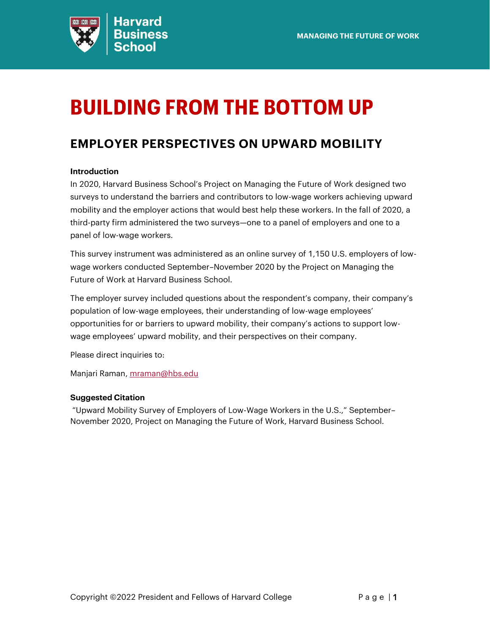

# <span id="page-0-0"></span>**BUILDING FROM THE BOTTOM UP**

#### <span id="page-0-1"></span>**EMPLOYER PERSPECTIVES ON UPWARD MOBILITY**

#### **Introduction**

In 2020, Harvard Business School's Project on Managing the Future of Work designed two surveys to understand the barriers and contributors to low-wage workers achieving upward mobility and the employer actions that would best help these workers. In the fall of 2020, a third-party firm administered the two surveys—one to a panel of employers and one to a panel of low-wage workers.

This survey instrument was administered as an online survey of 1,150 U.S. employers of lowwage workers conducted September–November 2020 by the Project on Managing the Future of Work at Harvard Business School.

The employer survey included questions about the respondent's company, their company's population of low-wage employees, their understanding of low-wage employees' opportunities for or barriers to upward mobility, their company's actions to support lowwage employees' upward mobility, and their perspectives on their company.

Please direct inquiries to:

Manjari Raman, [mraman@hbs.edu](mailto:mraman@hbs.edu)

#### **Suggested Citation**

"Upward Mobility Survey of Employers of Low-Wage Workers in the U.S.," September– November 2020, Project on Managing the Future of Work, Harvard Business School.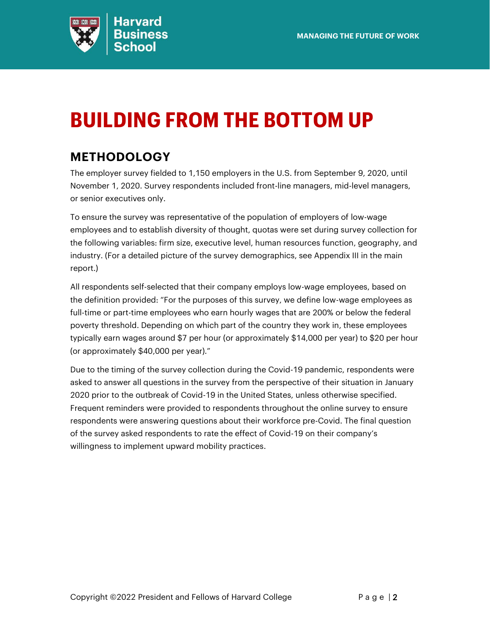

# <span id="page-1-0"></span>**BUILDING FROM THE BOTTOM UP**

## <span id="page-1-1"></span>**METHODOLOGY**

The employer survey fielded to 1,150 employers in the U.S. from September 9, 2020, until November 1, 2020. Survey respondents included front-line managers, mid-level managers, or senior executives only.

To ensure the survey was representative of the population of employers of low-wage employees and to establish diversity of thought, quotas were set during survey collection for the following variables: firm size, executive level, human resources function, geography, and industry. (For a detailed picture of the survey demographics, see Appendix III in the main report.)

All respondents self-selected that their company employs low-wage employees, based on the definition provided: "For the purposes of this survey, we define low-wage employees as full-time or part-time employees who earn hourly wages that are 200% or below the federal poverty threshold. Depending on which part of the country they work in, these employees typically earn wages around \$7 per hour (or approximately \$14,000 per year) to \$20 per hour (or approximately \$40,000 per year)."

Due to the timing of the survey collection during the Covid-19 pandemic, respondents were asked to answer all questions in the survey from the perspective of their situation in January 2020 prior to the outbreak of Covid-19 in the United States, unless otherwise specified. Frequent reminders were provided to respondents throughout the online survey to ensure respondents were answering questions about their workforce pre-Covid. The final question of the survey asked respondents to rate the effect of Covid-19 on their company's willingness to implement upward mobility practices.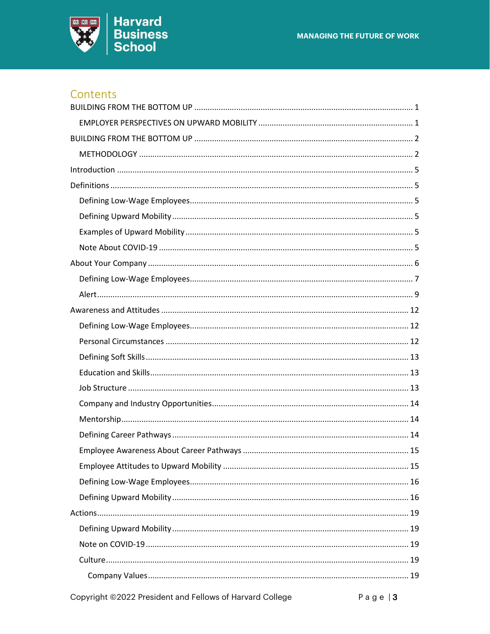

#### Contents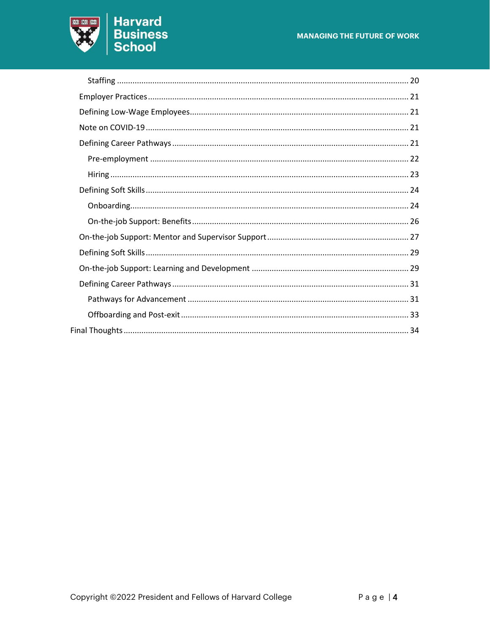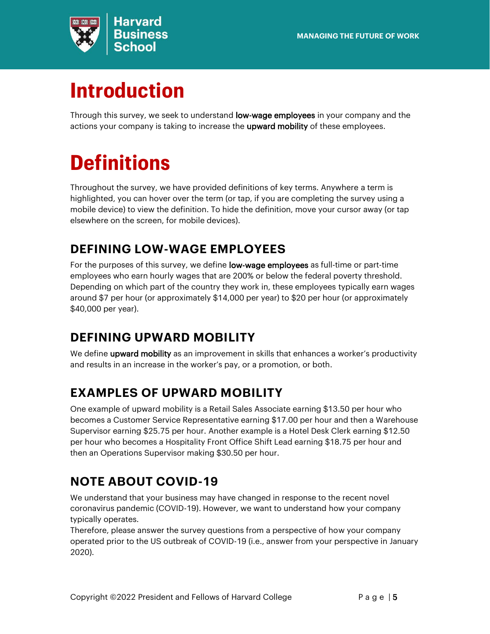

# <span id="page-4-0"></span>**Introduction**

Through this survey, we seek to understand low-wage employees in your company and the actions your company is taking to increase the **upward mobility** of these employees.

# <span id="page-4-1"></span>**Definitions**

Throughout the survey, we have provided definitions of key terms. Anywhere a term is highlighted, you can hover over the term (or tap, if you are completing the survey using a mobile device) to view the definition. To hide the definition, move your cursor away (or tap elsewhere on the screen, for mobile devices).

## <span id="page-4-2"></span>**DEFINING LOW-WAGE EMPLOYEES**

For the purposes of this survey, we define low-wage employees as full-time or part-time employees who earn hourly wages that are 200% or below the federal poverty threshold. Depending on which part of the country they work in, these employees typically earn wages around \$7 per hour (or approximately \$14,000 per year) to \$20 per hour (or approximately \$40,000 per year).

## <span id="page-4-3"></span>**DEFINING UPWARD MOBILITY**

We define upward mobility as an improvement in skills that enhances a worker's productivity and results in an increase in the worker's pay, or a promotion, or both.

## <span id="page-4-4"></span>**EXAMPLES OF UPWARD MOBILITY**

One example of upward mobility is a Retail Sales Associate earning \$13.50 per hour who becomes a Customer Service Representative earning \$17.00 per hour and then a Warehouse Supervisor earning \$25.75 per hour. Another example is a Hotel Desk Clerk earning \$12.50 per hour who becomes a Hospitality Front Office Shift Lead earning \$18.75 per hour and then an Operations Supervisor making \$30.50 per hour.

## <span id="page-4-5"></span>**NOTE ABOUT COVID-19**

We understand that your business may have changed in response to the recent novel coronavirus pandemic (COVID-19). However, we want to understand how your company typically operates.

Therefore, please answer the survey questions from a perspective of how your company operated prior to the US outbreak of COVID-19 (i.e., answer from your perspective in January 2020).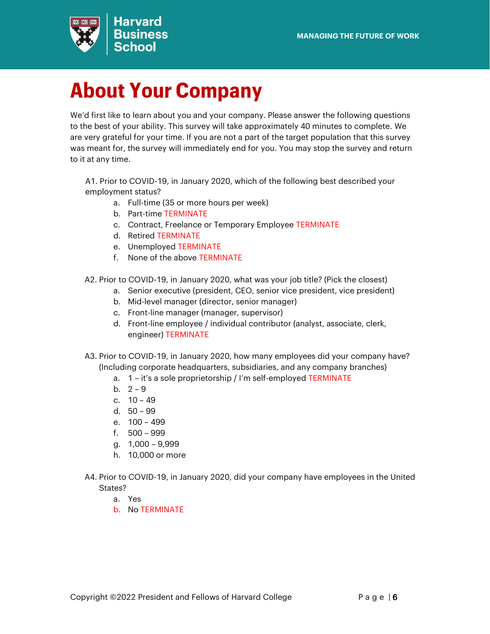

# <span id="page-5-0"></span>**About Your Company**

We'd first like to learn about you and your company. Please answer the following questions to the best of your ability. This survey will take approximately 40 minutes to complete. We are very grateful for your time. If you are not a part of the target population that this survey was meant for, the survey will immediately end for you. You may stop the survey and return to it at any time.

A1. Prior to COVID-19, in January 2020, which of the following best described your employment status?

- a. Full-time (35 or more hours per week)
- b. Part-time TERMINATE
- c. Contract, Freelance or Temporary Employee TERMINATE
- d. Retired TERMINATE
- e. Unemployed TERMINATE
- f. None of the above TERMINATE
- A2. Prior to COVID-19, in January 2020, what was your job title? (Pick the closest)
	- a. Senior executive (president, CEO, senior vice president, vice president)
	- b. Mid-level manager (director, senior manager)
	- c. Front-line manager (manager, supervisor)
	- d. Front-line employee / individual contributor (analyst, associate, clerk, engineer) TERMINATE
- A3. Prior to COVID-19, in January 2020, how many employees did your company have? (Including corporate headquarters, subsidiaries, and any company branches)
	- a. 1 it's a sole proprietorship / I'm self-employed TERMINATE
	- b.  $2 9$
	- c. 10 49
	- d. 50 99
	- e. 100 499
	- f. 500 999
	- g. 1,000 9,999
	- h. 10,000 or more
- A4. Prior to COVID-19, in January 2020, did your company have employees in the United States?
	- a. Yes
	- b. No TERMINATE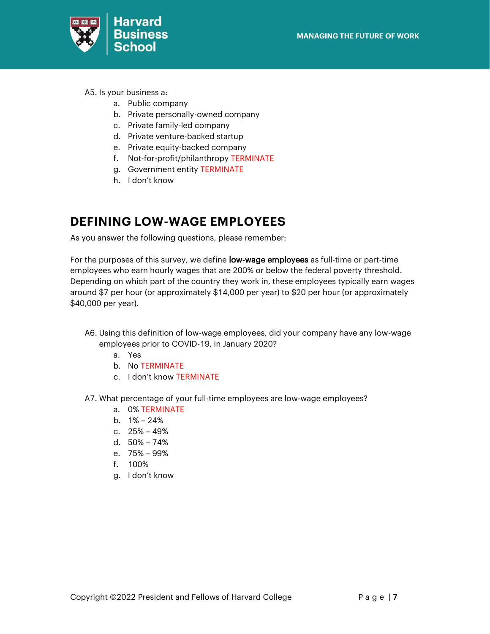

- A5. Is your business a:
	- a. Public company
	- b. Private personally-owned company
	- c. Private family-led company
	- d. Private venture-backed startup
	- e. Private equity-backed company
	- f. Not-for-profit/philanthropy TERMINATE
	- g. Government entity TERMINATE
	- h. I don't know

#### <span id="page-6-0"></span>**DEFINING LOW-WAGE EMPLOYEES**

As you answer the following questions, please remember:

For the purposes of this survey, we define low-wage employees as full-time or part-time employees who earn hourly wages that are 200% or below the federal poverty threshold. Depending on which part of the country they work in, these employees typically earn wages around \$7 per hour (or approximately \$14,000 per year) to \$20 per hour (or approximately \$40,000 per year).

- A6. Using this definition of low-wage employees, did your company have any low-wage employees prior to COVID-19, in January 2020?
	- a. Yes
	- b. No TERMINATE
	- c. I don't know TERMINATE
- A7. What percentage of your full-time employees are low-wage employees?
	- a. 0% TERMINATE
	- b. 1% 24%
	- c. 25% 49%
	- d. 50% 74%
	- e. 75% 99%
	- f. 100%
	- g. I don't know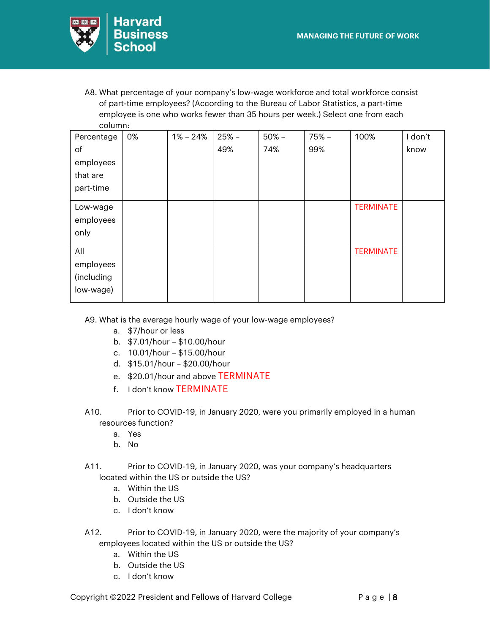

A8. What percentage of your company's low-wage workforce and total workforce consist of part-time employees? (According to the Bureau of Labor Statistics, a part-time employee is one who works fewer than 35 hours per week.) Select one from each column:

| Percentage | 0% | $1\% - 24\%$ | $25% -$ | $50% -$ | 75% – | 100%             | I don't |
|------------|----|--------------|---------|---------|-------|------------------|---------|
| of         |    |              | 49%     | 74%     | 99%   |                  | know    |
| employees  |    |              |         |         |       |                  |         |
| that are   |    |              |         |         |       |                  |         |
| part-time  |    |              |         |         |       |                  |         |
| Low-wage   |    |              |         |         |       | <b>TERMINATE</b> |         |
| employees  |    |              |         |         |       |                  |         |
| only       |    |              |         |         |       |                  |         |
| All        |    |              |         |         |       | <b>TERMINATE</b> |         |
| employees  |    |              |         |         |       |                  |         |
| (including |    |              |         |         |       |                  |         |
| low-wage)  |    |              |         |         |       |                  |         |

A9. What is the average hourly wage of your low-wage employees?

- a. \$7/hour or less
- b. \$7.01/hour \$10.00/hour
- c. 10.01/hour \$15.00/hour
- d. \$15.01/hour \$20.00/hour
- e. \$20.01/hour and above TERMINATE
- f. I don't know TERMINATE
- A10. Prior to COVID-19, in January 2020, were you primarily employed in a human resources function?
	- a. Yes
	- b. No
- A11. Prior to COVID-19, in January 2020, was your company's headquarters located within the US or outside the US?
	- a. Within the US
	- b. Outside the US
	- c. I don't know
- A12. Prior to COVID-19, in January 2020, were the majority of your company's employees located within the US or outside the US?
	- a. Within the US
	- b. Outside the US
	- c. I don't know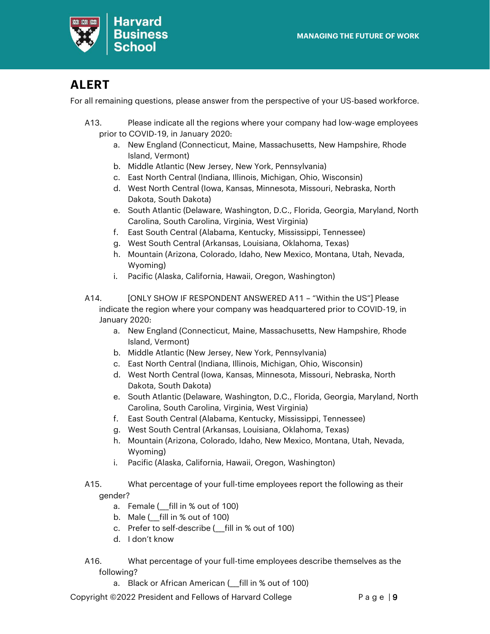

### <span id="page-8-0"></span>**ALERT**

For all remaining questions, please answer from the perspective of your US-based workforce.

- A13. Please indicate all the regions where your company had low-wage employees prior to COVID-19, in January 2020:
	- a. New England (Connecticut, Maine, Massachusetts, New Hampshire, Rhode Island, Vermont)
	- b. Middle Atlantic (New Jersey, New York, Pennsylvania)
	- c. East North Central (Indiana, Illinois, Michigan, Ohio, Wisconsin)
	- d. West North Central (Iowa, Kansas, Minnesota, Missouri, Nebraska, North Dakota, South Dakota)
	- e. South Atlantic (Delaware, Washington, D.C., Florida, Georgia, Maryland, North Carolina, South Carolina, Virginia, West Virginia)
	- f. East South Central (Alabama, Kentucky, Mississippi, Tennessee)
	- g. West South Central (Arkansas, Louisiana, Oklahoma, Texas)
	- h. Mountain (Arizona, Colorado, Idaho, New Mexico, Montana, Utah, Nevada, Wyoming)
	- i. Pacific (Alaska, California, Hawaii, Oregon, Washington)
- A14. [ONLY SHOW IF RESPONDENT ANSWERED A11 "Within the US"] Please indicate the region where your company was headquartered prior to COVID-19, in January 2020:
	- a. New England (Connecticut, Maine, Massachusetts, New Hampshire, Rhode Island, Vermont)
	- b. Middle Atlantic (New Jersey, New York, Pennsylvania)
	- c. East North Central (Indiana, Illinois, Michigan, Ohio, Wisconsin)
	- d. West North Central (Iowa, Kansas, Minnesota, Missouri, Nebraska, North Dakota, South Dakota)
	- e. South Atlantic (Delaware, Washington, D.C., Florida, Georgia, Maryland, North Carolina, South Carolina, Virginia, West Virginia)
	- f. East South Central (Alabama, Kentucky, Mississippi, Tennessee)
	- g. West South Central (Arkansas, Louisiana, Oklahoma, Texas)
	- h. Mountain (Arizona, Colorado, Idaho, New Mexico, Montana, Utah, Nevada, Wyoming)
	- i. Pacific (Alaska, California, Hawaii, Oregon, Washington)
- A15. What percentage of your full-time employees report the following as their gender?
	- a. Female (fill in % out of 100)
	- b. Male  $($  fill in % out of 100)
	- c. Prefer to self-describe (\_\_\_fill in % out of 100)
	- d. I don't know
- A16. What percentage of your full-time employees describe themselves as the following?
	- a. Black or African American ( fill in % out of 100)

Copyright  $@2022$  President and Fellows of Harvard College  $\overline{P}$  a g e | 9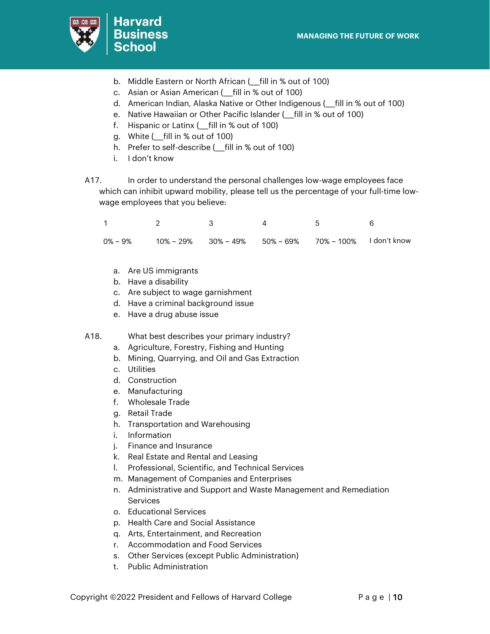

- b. Middle Eastern or North African (*\_\_fill in %* out of 100)
- c. Asian or Asian American (\_\_\_fill in % out of 100)
- d. American Indian, Alaska Native or Other Indigenous (\_\_\_fill in % out of 100)
- e. Native Hawaiian or Other Pacific Islander (\_\_\_fill in % out of 100)
- f. Hispanic or Latinx ( fill in % out of 100)
- g. White (\_\_\_fill in % out of 100)
- h. Prefer to self-describe ( fill in % out of 100)
- i. I don't know
- A17. In order to understand the personal challenges low-wage employees face which can inhibit upward mobility, please tell us the percentage of your full-time lowwage employees that you believe:

|  |  | $0\% - 9\%$ 10% - 29% 30% - 49% 50% - 69% 70% - 100% 1 don't know |  |
|--|--|-------------------------------------------------------------------|--|

- a. Are US immigrants
- b. Have a disability
- c. Are subject to wage garnishment
- d. Have a criminal background issue
- e. Have a drug abuse issue

A18. What best describes your primary industry?

- a. Agriculture, Forestry, Fishing and Hunting
- b. Mining, Quarrying, and Oil and Gas Extraction
- c. Utilities
- d. Construction
- e. Manufacturing
- f. Wholesale Trade
- g. Retail Trade
- h. Transportation and Warehousing
- i. Information
- j. Finance and Insurance
- k. Real Estate and Rental and Leasing
- l. Professional, Scientific, and Technical Services
- m. Management of Companies and Enterprises
- n. Administrative and Support and Waste Management and Remediation **Services**
- o. Educational Services
- p. Health Care and Social Assistance
- q. Arts, Entertainment, and Recreation
- r. Accommodation and Food Services
- s. Other Services (except Public Administration)
- t. Public Administration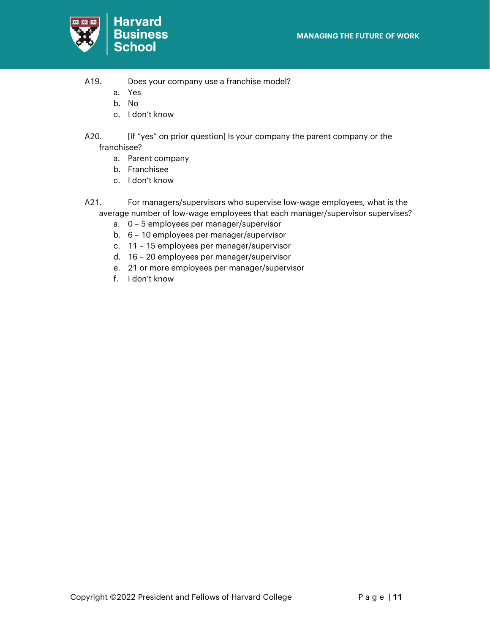

- A19. Does your company use a franchise model?
	- a. Yes
	- b. No
	- c. I don't know
- A20. **If "yes" on prior question] Is your company the parent company or the** franchisee?
	- a. Parent company
	- b. Franchisee
	- c. I don't know
- A21. For managers/supervisors who supervise low-wage employees, what is the average number of low-wage employees that each manager/supervisor supervises?
	- a. 0 5 employees per manager/supervisor
	- b. 6 10 employees per manager/supervisor
	- c. 11 15 employees per manager/supervisor
	- d. 16 20 employees per manager/supervisor
	- e. 21 or more employees per manager/supervisor
	- f. I don't know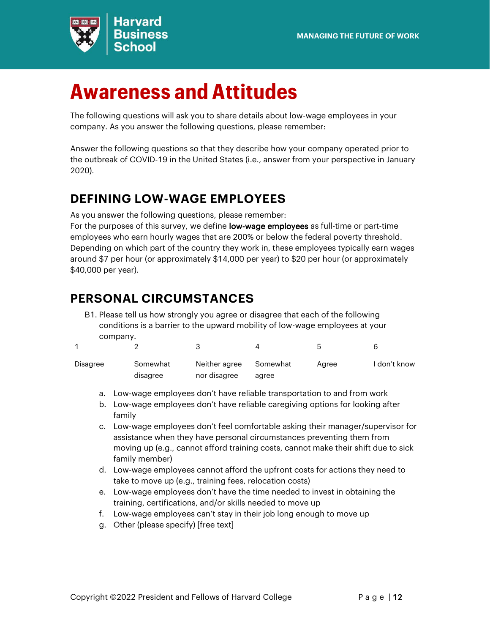

# <span id="page-11-0"></span>**Awareness and Attitudes**

The following questions will ask you to share details about low-wage employees in your company. As you answer the following questions, please remember:

Answer the following questions so that they describe how your company operated prior to the outbreak of COVID-19 in the United States (i.e., answer from your perspective in January 2020).

### <span id="page-11-1"></span>**DEFINING LOW-WAGE EMPLOYEES**

As you answer the following questions, please remember:

For the purposes of this survey, we define low-wage employees as full-time or part-time employees who earn hourly wages that are 200% or below the federal poverty threshold. Depending on which part of the country they work in, these employees typically earn wages around \$7 per hour (or approximately \$14,000 per year) to \$20 per hour (or approximately \$40,000 per year).

### <span id="page-11-2"></span>**PERSONAL CIRCUMSTANCES**

B1. Please tell us how strongly you agree or disagree that each of the following conditions is a barrier to the upward mobility of low-wage employees at your company.

|          |          |               |          |       | ี            |
|----------|----------|---------------|----------|-------|--------------|
| Disagree | Somewhat | Neither agree | Somewhat | Aaree | I don't know |
|          | disagree | nor disagree  | agree    |       |              |

- a. Low-wage employees don't have reliable transportation to and from work
- b. Low-wage employees don't have reliable caregiving options for looking after family
- c. Low-wage employees don't feel comfortable asking their manager/supervisor for assistance when they have personal circumstances preventing them from moving up (e.g., cannot afford training costs, cannot make their shift due to sick family member)
- d. Low-wage employees cannot afford the upfront costs for actions they need to take to move up (e.g., training fees, relocation costs)
- e. Low-wage employees don't have the time needed to invest in obtaining the training, certifications, and/or skills needed to move up
- f. Low-wage employees can't stay in their job long enough to move up
- g. Other (please specify) [free text]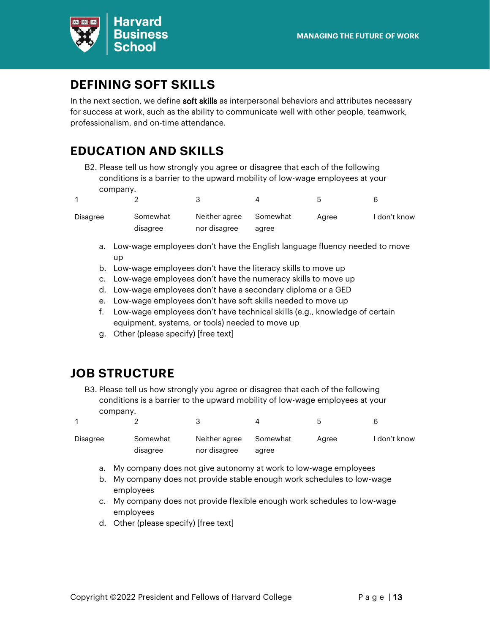

### <span id="page-12-0"></span>**DEFINING SOFT SKILLS**

In the next section, we define soft skills as interpersonal behaviors and attributes necessary for success at work, such as the ability to communicate well with other people, teamwork, professionalism, and on-time attendance.

## <span id="page-12-1"></span>**EDUCATION AND SKILLS**

B2. Please tell us how strongly you agree or disagree that each of the following conditions is a barrier to the upward mobility of low-wage employees at your company.  $\sim$  $\overline{4}$ 

1

| Disagree | Somewhat | Neither agree | Somewhat | Aaree | I don't know |
|----------|----------|---------------|----------|-------|--------------|
|          | disagree | nor disagree  | agree    |       |              |

- a. Low-wage employees don't have the English language fluency needed to move up
- b. Low-wage employees don't have the literacy skills to move up
- c. Low-wage employees don't have the numeracy skills to move up
- d. Low-wage employees don't have a secondary diploma or a GED
- e. Low-wage employees don't have soft skills needed to move up
- f. Low-wage employees don't have technical skills (e.g., knowledge of certain equipment, systems, or tools) needed to move up
- g. Other (please specify) [free text]

#### <span id="page-12-2"></span>**JOB STRUCTURE**

B3. Please tell us how strongly you agree or disagree that each of the following conditions is a barrier to the upward mobility of low-wage employees at your company.  $\circ$ 5

|          |          |               |          |       | h            |
|----------|----------|---------------|----------|-------|--------------|
| Disagree | Somewhat | Neither agree | Somewhat | Aaree | I don't know |
|          | disagree | nor disagree  | agree    |       |              |

- a. My company does not give autonomy at work to low-wage employees
- b. My company does not provide stable enough work schedules to low-wage employees
- c. My company does not provide flexible enough work schedules to low-wage employees
- d. Other (please specify) [free text]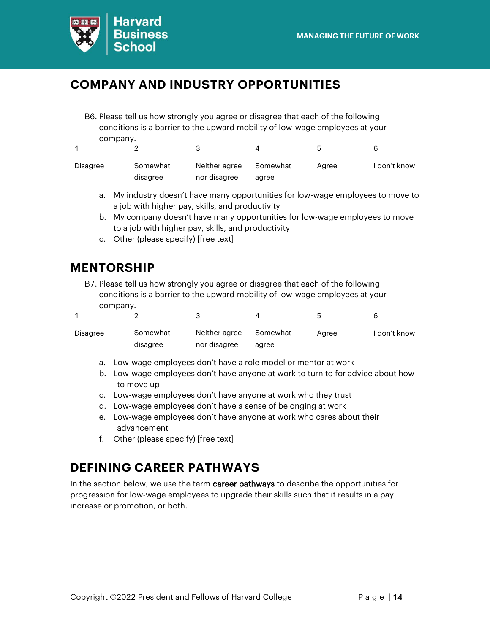

#### <span id="page-13-0"></span>**COMPANY AND INDUSTRY OPPORTUNITIES**

B6. Please tell us how strongly you agree or disagree that each of the following conditions is a barrier to the upward mobility of low-wage employees at your company.

|          |          |               |          | h     | ൳            |
|----------|----------|---------------|----------|-------|--------------|
| Disagree | Somewhat | Neither agree | Somewhat | Aaree | I don't know |
|          | disagree | nor disagree  | agree    |       |              |

- a. My industry doesn't have many opportunities for low-wage employees to move to a job with higher pay, skills, and productivity
- b. My company doesn't have many opportunities for low-wage employees to move to a job with higher pay, skills, and productivity
- c. Other (please specify) [free text]

#### <span id="page-13-1"></span>**MENTORSHIP**

 $\mathcal{D}$ 

1

B7. Please tell us how strongly you agree or disagree that each of the following conditions is a barrier to the upward mobility of low-wage employees at your company.

| Disagree | Somewhat | Neither agree | Somewhat | Aaree | I don't know |
|----------|----------|---------------|----------|-------|--------------|
|          | disagree | nor disagree  | agree    |       |              |

a. Low-wage employees don't have a role model or mentor at work

3

b. Low-wage employees don't have anyone at work to turn to for advice about how to move up

4

5

6

- c. Low-wage employees don't have anyone at work who they trust
- d. Low-wage employees don't have a sense of belonging at work
- e. Low-wage employees don't have anyone at work who cares about their advancement
- f. Other (please specify) [free text]

#### <span id="page-13-2"></span>**DEFINING CAREER PATHWAYS**

In the section below, we use the term career pathways to describe the opportunities for progression for low-wage employees to upgrade their skills such that it results in a pay increase or promotion, or both.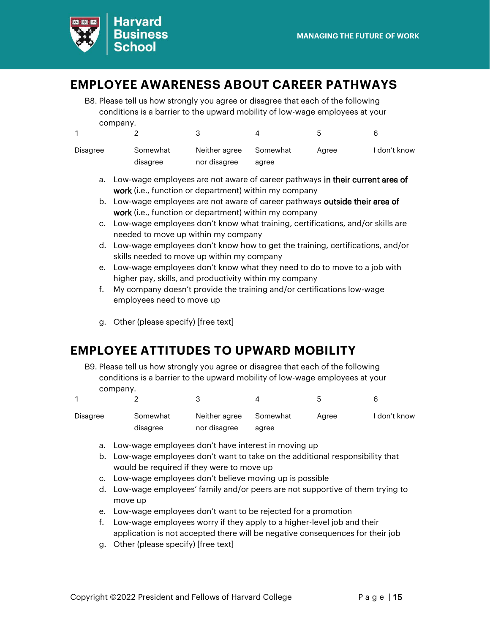

#### <span id="page-14-0"></span>**EMPLOYEE AWARENESS ABOUT CAREER PATHWAYS**

B8. Please tell us how strongly you agree or disagree that each of the following conditions is a barrier to the upward mobility of low-wage employees at your company.

|          |          |               |          | $\mathbf{h}$ | Б            |
|----------|----------|---------------|----------|--------------|--------------|
| Disagree | Somewhat | Neither agree | Somewhat | Aaree        | I don't know |
|          | disagree | nor disagree  | agree    |              |              |

- a. Low-wage employees are not aware of career pathways in their current area of work (i.e., function or department) within my company
- b. Low-wage employees are not aware of career pathways outside their area of work (i.e., function or department) within my company
- c. Low-wage employees don't know what training, certifications, and/or skills are needed to move up within my company
- d. Low-wage employees don't know how to get the training, certifications, and/or skills needed to move up within my company
- e. Low-wage employees don't know what they need to do to move to a job with higher pay, skills, and productivity within my company
- f. My company doesn't provide the training and/or certifications low-wage employees need to move up
- g. Other (please specify) [free text]

#### <span id="page-14-1"></span>**EMPLOYEE ATTITUDES TO UPWARD MOBILITY**

B9. Please tell us how strongly you agree or disagree that each of the following conditions is a barrier to the upward mobility of low-wage employees at your company.

|          |          |               |          |       | ี่ค          |
|----------|----------|---------------|----------|-------|--------------|
| Disagree | Somewhat | Neither agree | Somewhat | Aaree | I don't know |
|          | disagree | nor disagree  | agree    |       |              |

- a. Low-wage employees don't have interest in moving up
- b. Low-wage employees don't want to take on the additional responsibility that would be required if they were to move up
- c. Low-wage employees don't believe moving up is possible
- d. Low-wage employees' family and/or peers are not supportive of them trying to move up
- e. Low-wage employees don't want to be rejected for a promotion
- f. Low-wage employees worry if they apply to a higher-level job and their application is not accepted there will be negative consequences for their job
- g. Other (please specify) [free text]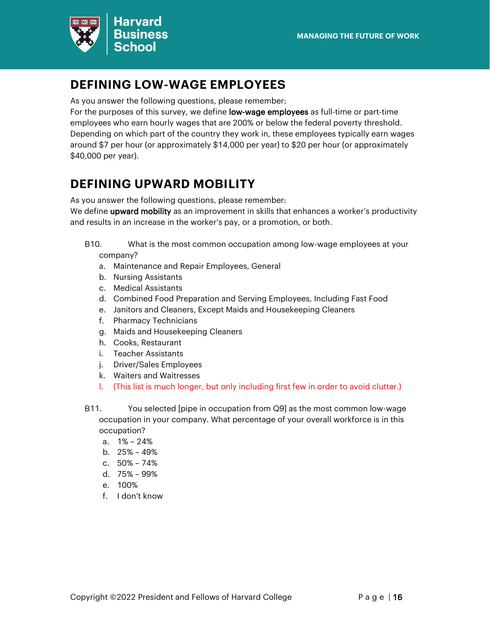

#### <span id="page-15-0"></span>**DEFINING LOW-WAGE EMPLOYEES**

As you answer the following questions, please remember:

For the purposes of this survey, we define **low-wage employees** as full-time or part-time employees who earn hourly wages that are 200% or below the federal poverty threshold. Depending on which part of the country they work in, these employees typically earn wages around \$7 per hour (or approximately \$14,000 per year) to \$20 per hour (or approximately \$40,000 per year).

### <span id="page-15-1"></span>**DEFINING UPWARD MOBILITY**

As you answer the following questions, please remember:

We define upward mobility as an improvement in skills that enhances a worker's productivity and results in an increase in the worker's pay, or a promotion, or both.

B10. What is the most common occupation among low-wage employees at your company?

- a. Maintenance and Repair Employees, General
- b. Nursing Assistants
- c. Medical Assistants
- d. Combined Food Preparation and Serving Employees, Including Fast Food
- e. Janitors and Cleaners, Except Maids and Housekeeping Cleaners
- f. Pharmacy Technicians
- g. Maids and Housekeeping Cleaners
- h. Cooks, Restaurant
- i. Teacher Assistants
- j. Driver/Sales Employees
- k. Waiters and Waitresses
- l. (This list is much longer, but only including first few in order to avoid clutter.)
- B11. You selected [pipe in occupation from Q9] as the most common low-wage occupation in your company. What percentage of your overall workforce is in this occupation?
	- a. 1% 24%
	- b. 25% 49%
	- c. 50% 74%
	- d. 75% 99%
	- e. 100%
	- f. I don't know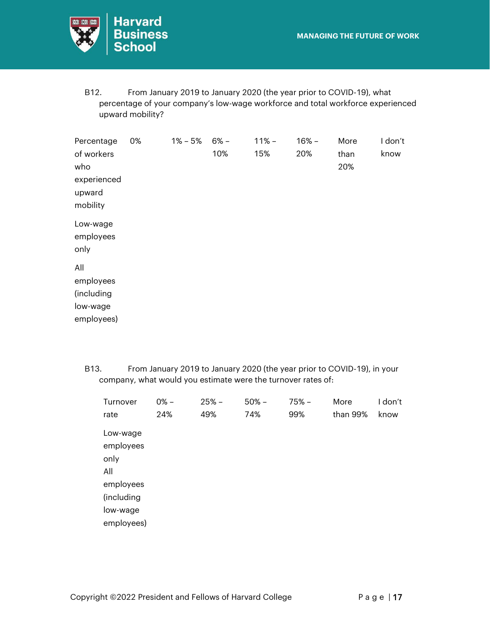

B12. From January 2019 to January 2020 (the year prior to COVID-19), what percentage of your company's low-wage workforce and total workforce experienced upward mobility?

| of workers<br>experienced | 10% | 15% | 20% | than<br>20% | know |
|---------------------------|-----|-----|-----|-------------|------|
|                           |     |     |     |             |      |
| Low-wage<br>employees     |     |     |     |             |      |
|                           |     |     |     |             |      |
| employees                 |     |     |     |             |      |
|                           |     |     |     |             |      |
|                           |     |     |     |             |      |
| employees)                |     |     |     |             |      |
|                           |     |     |     |             |      |

B13. From January 2019 to January 2020 (the year prior to COVID-19), in your company, what would you estimate were the turnover rates of:

| Turnover   | $0% -$ | $25% -$ | $50% -$ | 75% – | More     | I don't |
|------------|--------|---------|---------|-------|----------|---------|
| rate       | 24%    | 49%     | 74%     | 99%   | than 99% | know    |
| Low-wage   |        |         |         |       |          |         |
| employees  |        |         |         |       |          |         |
| only       |        |         |         |       |          |         |
| All        |        |         |         |       |          |         |
| employees  |        |         |         |       |          |         |
| (including |        |         |         |       |          |         |
| low-wage   |        |         |         |       |          |         |
| employees) |        |         |         |       |          |         |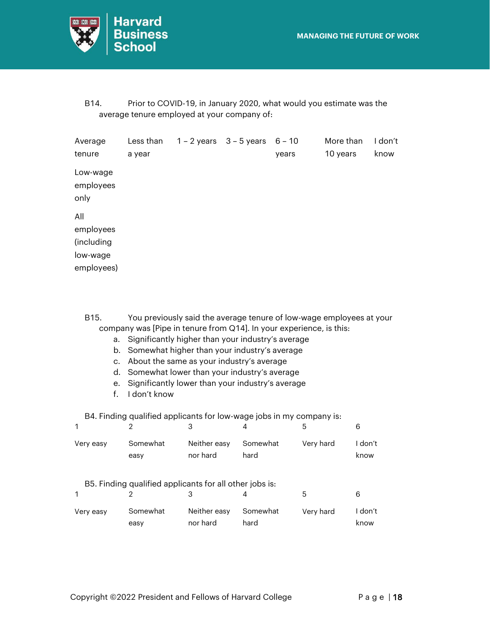

B14. Prior to COVID-19, in January 2020, what would you estimate was the average tenure employed at your company of:

| Average<br>tenure                                        | Less than<br>a year | $1 - 2$ years $3 - 5$ years $6 - 10$ | years | More than<br>10 years | I don't<br>know |
|----------------------------------------------------------|---------------------|--------------------------------------|-------|-----------------------|-----------------|
| Low-wage<br>employees<br>only                            |                     |                                      |       |                       |                 |
| All<br>employees<br>(including<br>low-wage<br>employees) |                     |                                      |       |                       |                 |

B15. You previously said the average tenure of low-wage employees at your company was [Pipe in tenure from Q14]. In your experience, is this:

- a. Significantly higher than your industry's average
- b. Somewhat higher than your industry's average
- c. About the same as your industry's average
- d. Somewhat lower than your industry's average
- e. Significantly lower than your industry's average
- f. I don't know

B4. Finding qualified applicants for low-wage jobs in my company is:

| 1         | 2                                                       | 3                        |                  | 5         | 6               |
|-----------|---------------------------------------------------------|--------------------------|------------------|-----------|-----------------|
| Very easy | Somewhat<br>easy                                        | Neither easy<br>nor hard | Somewhat<br>hard | Very hard | I don't<br>know |
|           | B5. Finding qualified applicants for all other jobs is: |                          |                  |           |                 |
|           |                                                         | 3                        | 4                | 5         | 6               |
| Very easy | Somewhat<br>easy                                        | Neither easy<br>nor hard | Somewhat<br>hard | Very hard | I don't<br>know |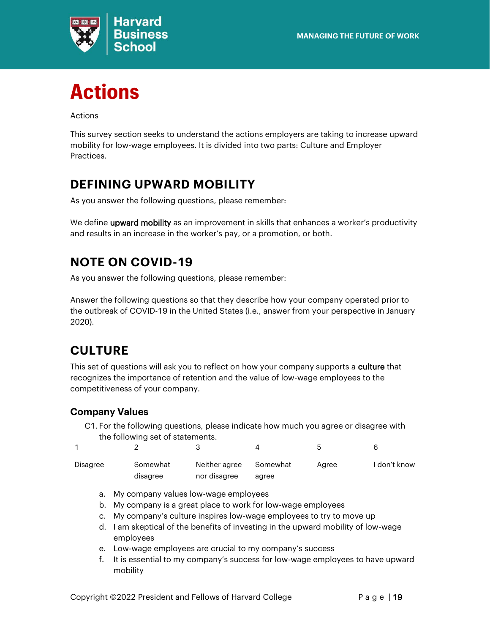

<span id="page-18-0"></span>

Actions

This survey section seeks to understand the actions employers are taking to increase upward mobility for low-wage employees. It is divided into two parts: Culture and Employer Practices.

## <span id="page-18-1"></span>**DEFINING UPWARD MOBILITY**

As you answer the following questions, please remember:

We define **upward mobility** as an improvement in skills that enhances a worker's productivity and results in an increase in the worker's pay, or a promotion, or both.

## <span id="page-18-2"></span>**NOTE ON COVID-19**

As you answer the following questions, please remember:

Answer the following questions so that they describe how your company operated prior to the outbreak of COVID-19 in the United States (i.e., answer from your perspective in January 2020).

### <span id="page-18-3"></span>**CULTURE**

This set of questions will ask you to reflect on how your company supports a **culture** that recognizes the importance of retention and the value of low-wage employees to the competitiveness of your company.

#### <span id="page-18-4"></span>**Company Values**

C1. For the following questions, please indicate how much you agree or disagree with the following set of statements.

|          |          |               |          | h     | 6            |
|----------|----------|---------------|----------|-------|--------------|
| Disagree | Somewhat | Neither agree | Somewhat | Aaree | I don't know |
|          | disagree | nor disagree  | agree    |       |              |

- a. My company values low-wage employees
- b. My company is a great place to work for low-wage employees
- c. My company's culture inspires low-wage employees to try to move up
- d. I am skeptical of the benefits of investing in the upward mobility of low-wage employees
- e. Low-wage employees are crucial to my company's success
- f. It is essential to my company's success for low-wage employees to have upward mobility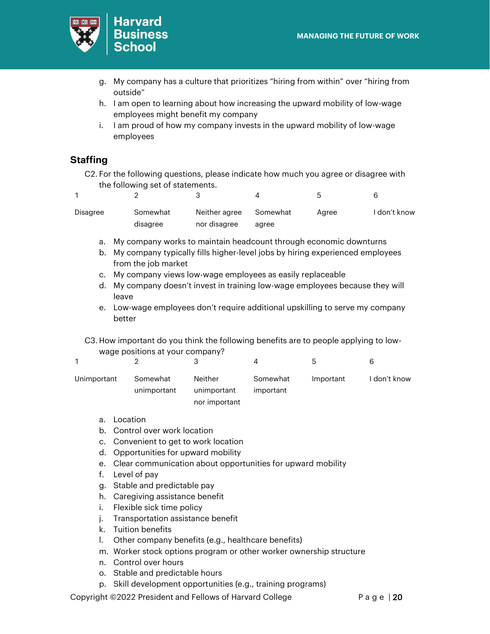

- g. My company has a culture that prioritizes "hiring from within" over "hiring from outside"
- h. I am open to learning about how increasing the upward mobility of low-wage employees might benefit my company
- i. I am proud of how my company invests in the upward mobility of low-wage employees

#### <span id="page-19-0"></span>**Staffing**

C2. For the following questions, please indicate how much you agree or disagree with the following set of statements.

|          |          |               |          | ۰.    |              |
|----------|----------|---------------|----------|-------|--------------|
| Disagree | Somewhat | Neither agree | Somewhat | Aaree | I don't know |
|          | disagree | nor disagree  | agree    |       |              |

- a. My company works to maintain headcount through economic downturns
- b. My company typically fills higher-level jobs by hiring experienced employees from the job market
- c. My company views low-wage employees as easily replaceable
- d. My company doesn't invest in training low-wage employees because they will leave
- e. Low-wage employees don't require additional upskilling to serve my company better

C3. How important do you think the following benefits are to people applying to lowwage positions at your company?

|             |             |             |           | <b>5</b>  | h            |
|-------------|-------------|-------------|-----------|-----------|--------------|
| Unimportant | Somewhat    | Neither     | Somewhat  | Important | I don't know |
|             | unimportant | unimportant | important |           |              |

nor important

- a. Location
- b. Control over work location
- c. Convenient to get to work location
- d. Opportunities for upward mobility
- e. Clear communication about opportunities for upward mobility
- f. Level of pay
- g. Stable and predictable pay
- h. Caregiving assistance benefit
- i. Flexible sick time policy
- j. Transportation assistance benefit
- k. Tuition benefits
- l. Other company benefits (e.g., healthcare benefits)
- m. Worker stock options program or other worker ownership structure
- n. Control over hours
- o. Stable and predictable hours
- p. Skill development opportunities (e.g., training programs)

Copyright ©2022 President and Fellows of Harvard College P a g e | 20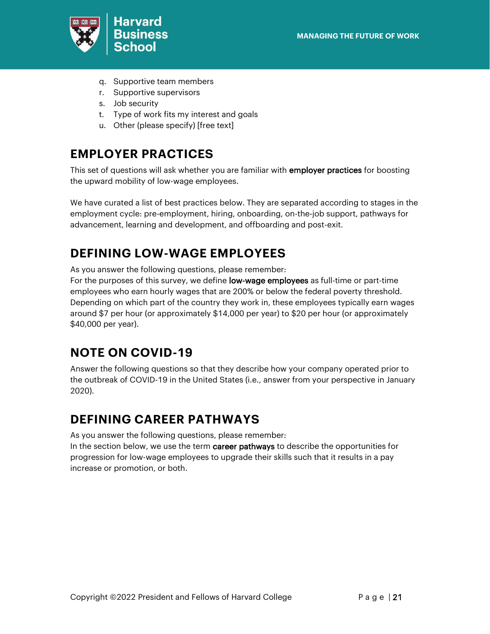

- q. Supportive team members
- r. Supportive supervisors
- s. Job security
- t. Type of work fits my interest and goals
- u. Other (please specify) [free text]

#### <span id="page-20-0"></span>**EMPLOYER PRACTICES**

This set of questions will ask whether you are familiar with employer practices for boosting the upward mobility of low-wage employees.

We have curated a list of best practices below. They are separated according to stages in the employment cycle: pre-employment, hiring, onboarding, on-the-job support, pathways for advancement, learning and development, and offboarding and post-exit.

### <span id="page-20-1"></span>**DEFINING LOW-WAGE EMPLOYEES**

As you answer the following questions, please remember:

For the purposes of this survey, we define **low-wage employees** as full-time or part-time employees who earn hourly wages that are 200% or below the federal poverty threshold. Depending on which part of the country they work in, these employees typically earn wages around \$7 per hour (or approximately \$14,000 per year) to \$20 per hour (or approximately \$40,000 per year).

### <span id="page-20-2"></span>**NOTE ON COVID-19**

Answer the following questions so that they describe how your company operated prior to the outbreak of COVID-19 in the United States (i.e., answer from your perspective in January 2020).

#### <span id="page-20-3"></span>**DEFINING CAREER PATHWAYS**

As you answer the following questions, please remember:

In the section below, we use the term career pathways to describe the opportunities for progression for low-wage employees to upgrade their skills such that it results in a pay increase or promotion, or both.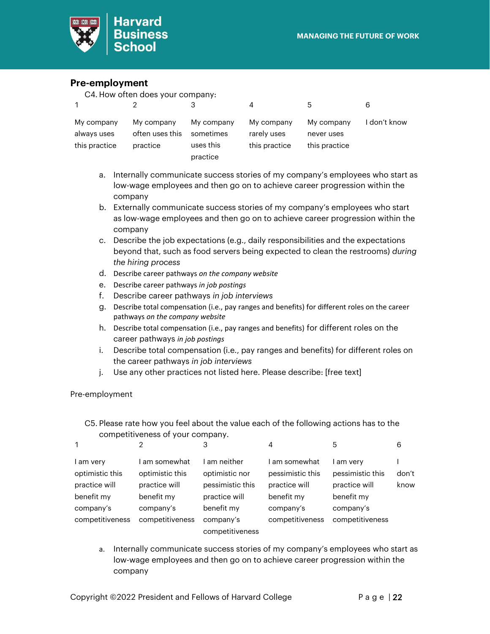

#### <span id="page-21-0"></span>**Pre-employment**

| C4. How often does your company:           |                                           |                                                  |                                            |                                           |              |  |  |
|--------------------------------------------|-------------------------------------------|--------------------------------------------------|--------------------------------------------|-------------------------------------------|--------------|--|--|
|                                            |                                           | З                                                |                                            | 5                                         | 6            |  |  |
| My company<br>always uses<br>this practice | My company<br>often uses this<br>practice | My company<br>sometimes<br>uses this<br>practice | My company<br>rarely uses<br>this practice | My company<br>never uses<br>this practice | I don't know |  |  |

- a. Internally communicate success stories of my company's employees who start as low-wage employees and then go on to achieve career progression within the company
- b. Externally communicate success stories of my company's employees who start as low-wage employees and then go on to achieve career progression within the company
- c. Describe the job expectations (e.g., daily responsibilities and the expectations beyond that, such as food servers being expected to clean the restrooms) *during the hiring process*
- d. Describe career pathways *on the company website*
- e. Describe career pathways *in job postings*
- f. Describe career pathways *in job interviews*
- g. Describe total compensation (i.e., pay ranges and benefits) for different roles on the career pathways *on the company website*
- h. Describe total compensation (i.e., pay ranges and benefits) for different roles on the career pathways *in job postings*
- i. Describe total compensation (i.e., pay ranges and benefits) for different roles on the career pathways *in job interviews*
- j. Use any other practices not listed here. Please describe: [free text]

Pre-employment

C5. Please rate how you feel about the value each of the following actions has to the competitiveness of your company.

| 1                                                                        | 2                                                                          | 3                                                                                 | 4                                                                             | 5                                                                       | 6             |
|--------------------------------------------------------------------------|----------------------------------------------------------------------------|-----------------------------------------------------------------------------------|-------------------------------------------------------------------------------|-------------------------------------------------------------------------|---------------|
| l am very<br>optimistic this<br>practice will<br>benefit my<br>company's | am somewhat<br>optimistic this<br>practice will<br>benefit my<br>company's | ∣ am neither<br>optimistic nor<br>pessimistic this<br>practice will<br>benefit my | ' am somewhat<br>pessimistic this<br>practice will<br>benefit my<br>company's | am very<br>pessimistic this<br>practice will<br>benefit my<br>company's | don't<br>know |
| competitiveness                                                          | competitiveness                                                            | company's<br>competitiveness                                                      | competitiveness                                                               | competitiveness                                                         |               |

a. Internally communicate success stories of my company's employees who start as low-wage employees and then go on to achieve career progression within the company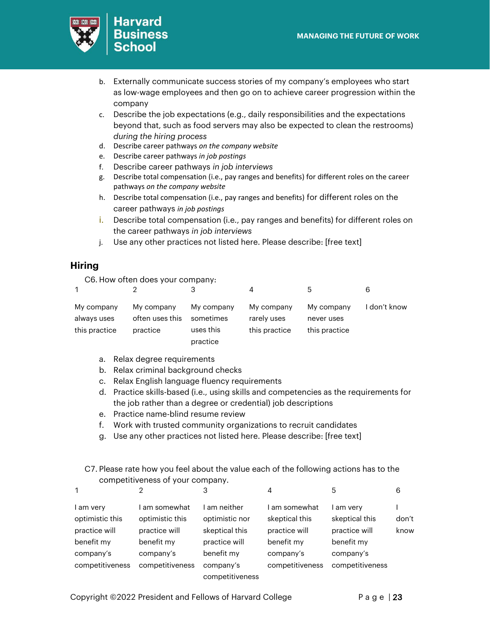

- b. Externally communicate success stories of my company's employees who start as low-wage employees and then go on to achieve career progression within the company
- c. Describe the job expectations (e.g., daily responsibilities and the expectations beyond that, such as food servers may also be expected to clean the restrooms) *during the hiring process*
- d. Describe career pathways *on the company website*
- e. Describe career pathways *in job postings*
- f. Describe career pathways *in job interviews*
- g. Describe total compensation (i.e., pay ranges and benefits) for different roles on the career pathways *on the company website*
- h. Describe total compensation (i.e., pay ranges and benefits) for different roles on the career pathways *in job postings*
- i. Describe total compensation (i.e., pay ranges and benefits) for different roles on the career pathways *in job interviews*
- j. Use any other practices not listed here. Please describe: [free text]

#### <span id="page-22-0"></span>**Hiring**

C6. How often does your company:

| $\mathbf{1}$                               |                                           | 3                                                |                                            | ხ                                         |              |
|--------------------------------------------|-------------------------------------------|--------------------------------------------------|--------------------------------------------|-------------------------------------------|--------------|
| My company<br>always uses<br>this practice | My company<br>often uses this<br>practice | My company<br>sometimes<br>uses this<br>practice | My company<br>rarely uses<br>this practice | My company<br>never uses<br>this practice | I don't know |

- a. Relax degree requirements
- b. Relax criminal background checks
- c. Relax English language fluency requirements
- d. Practice skills-based (i.e., using skills and competencies as the requirements for the job rather than a degree or credential) job descriptions
- e. Practice name-blind resume review
- f. Work with trusted community organizations to recruit candidates
- g. Use any other practices not listed here. Please describe: [free text]

#### C7. Please rate how you feel about the value each of the following actions has to the competitiveness of your company.

| $\mathbf{1}$                                  | っ                                               | 3                                              | 4                                                | 5                                            | 6             |
|-----------------------------------------------|-------------------------------------------------|------------------------------------------------|--------------------------------------------------|----------------------------------------------|---------------|
| l am very<br>optimistic this<br>practice will | am somewhat<br>optimistic this<br>practice will | am neither<br>optimistic nor<br>skeptical this | I am somewhat<br>skeptical this<br>practice will | l am very<br>skeptical this<br>practice will | don't<br>know |
| benefit my<br>company's                       | benefit my<br>company's                         | practice will<br>benefit my                    | benefit my<br>company's                          | benefit my<br>company's                      |               |
| competitiveness                               | competitiveness                                 | company's<br>competitiveness                   | competitiveness                                  | competitiveness                              |               |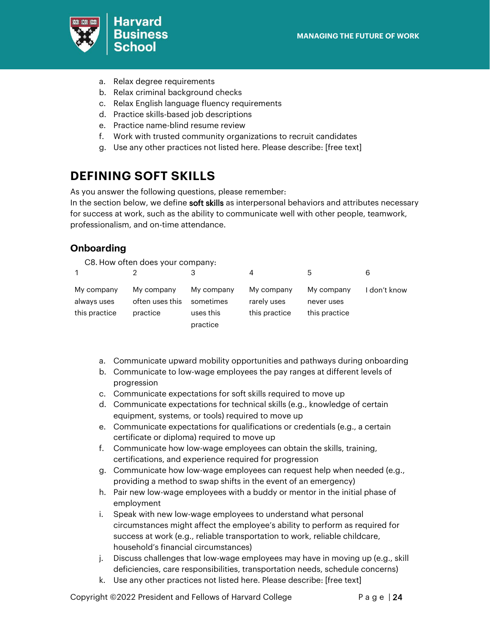

- a. Relax degree requirements
- b. Relax criminal background checks
- c. Relax English language fluency requirements
- d. Practice skills-based job descriptions
- e. Practice name-blind resume review
- f. Work with trusted community organizations to recruit candidates
- g. Use any other practices not listed here. Please describe: [free text]

### <span id="page-23-0"></span>**DEFINING SOFT SKILLS**

As you answer the following questions, please remember:

In the section below, we define soft skills as interpersonal behaviors and attributes necessary for success at work, such as the ability to communicate well with other people, teamwork, professionalism, and on-time attendance.

#### <span id="page-23-1"></span>**Onboarding**

C8. How often does your company:

| $\mathbf{1}$                               |                                           |                                                  | 4                                          | 5                                         | 6            |
|--------------------------------------------|-------------------------------------------|--------------------------------------------------|--------------------------------------------|-------------------------------------------|--------------|
| My company<br>always uses<br>this practice | My company<br>often uses this<br>practice | My company<br>sometimes<br>uses this<br>practice | My company<br>rarely uses<br>this practice | My company<br>never uses<br>this practice | I don't know |

- a. Communicate upward mobility opportunities and pathways during onboarding
- b. Communicate to low-wage employees the pay ranges at different levels of progression
- c. Communicate expectations for soft skills required to move up
- d. Communicate expectations for technical skills (e.g., knowledge of certain equipment, systems, or tools) required to move up
- e. Communicate expectations for qualifications or credentials (e.g., a certain certificate or diploma) required to move up
- f. Communicate how low-wage employees can obtain the skills, training, certifications, and experience required for progression
- g. Communicate how low-wage employees can request help when needed (e.g., providing a method to swap shifts in the event of an emergency)
- h. Pair new low-wage employees with a buddy or mentor in the initial phase of employment
- i. Speak with new low-wage employees to understand what personal circumstances might affect the employee's ability to perform as required for success at work (e.g., reliable transportation to work, reliable childcare, household's financial circumstances)
- j. Discuss challenges that low-wage employees may have in moving up (e.g., skill deficiencies, care responsibilities, transportation needs, schedule concerns)
- k. Use any other practices not listed here. Please describe: [free text]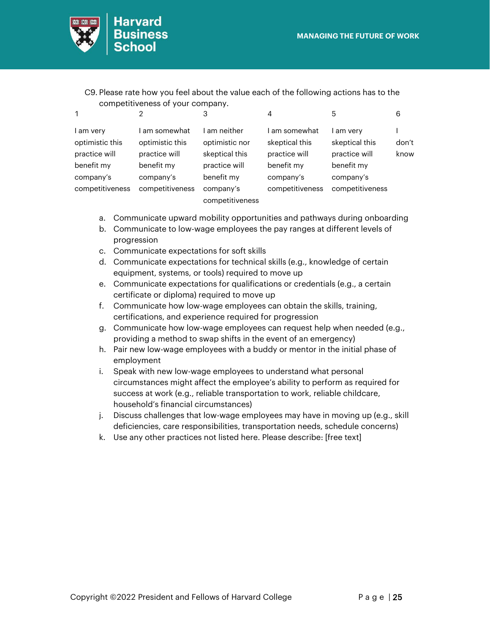

C9. Please rate how you feel about the value each of the following actions has to the competitiveness of your company.

| 1                                             | っ                                               | 3                                                | 4                                              | 5                                          | 6             |
|-----------------------------------------------|-------------------------------------------------|--------------------------------------------------|------------------------------------------------|--------------------------------------------|---------------|
| l am very<br>optimistic this<br>practice will | am somewhat<br>optimistic this<br>practice will | ∣ am neither<br>optimistic nor<br>skeptical this | am somewhat<br>skeptical this<br>practice will | am very<br>skeptical this<br>practice will | don't<br>know |
| benefit my                                    | benefit my                                      | practice will                                    | benefit my                                     | benefit my                                 |               |
| company's                                     | company's                                       | benefit my                                       | company's                                      | company's                                  |               |
| competitiveness                               | competitiveness                                 | company's                                        | competitiveness                                | competitiveness                            |               |
|                                               |                                                 | competitiveness                                  |                                                |                                            |               |

- a. Communicate upward mobility opportunities and pathways during onboarding
- b. Communicate to low-wage employees the pay ranges at different levels of progression
- c. Communicate expectations for soft skills
- d. Communicate expectations for technical skills (e.g., knowledge of certain equipment, systems, or tools) required to move up
- e. Communicate expectations for qualifications or credentials (e.g., a certain certificate or diploma) required to move up
- f. Communicate how low-wage employees can obtain the skills, training, certifications, and experience required for progression
- g. Communicate how low-wage employees can request help when needed (e.g., providing a method to swap shifts in the event of an emergency)
- h. Pair new low-wage employees with a buddy or mentor in the initial phase of employment
- i. Speak with new low-wage employees to understand what personal circumstances might affect the employee's ability to perform as required for success at work (e.g., reliable transportation to work, reliable childcare, household's financial circumstances)
- j. Discuss challenges that low-wage employees may have in moving up (e.g., skill deficiencies, care responsibilities, transportation needs, schedule concerns)
- k. Use any other practices not listed here. Please describe: [free text]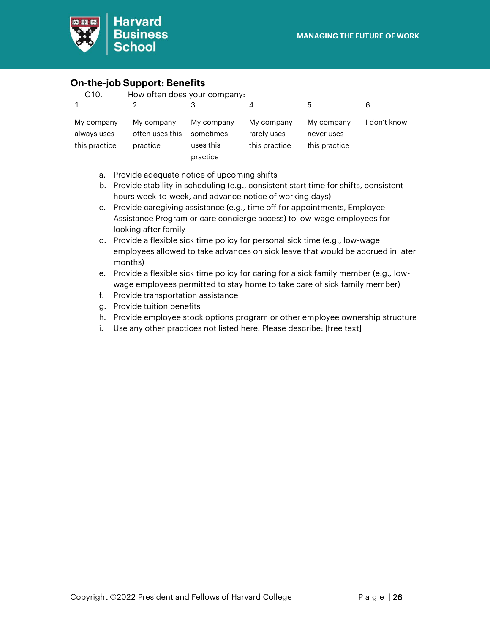

#### <span id="page-25-0"></span>**On-the-job Support: Benefits**

| C <sub>10</sub> .                          | How often does your company:              |                                                  |                                            |                                           |              |
|--------------------------------------------|-------------------------------------------|--------------------------------------------------|--------------------------------------------|-------------------------------------------|--------------|
| 1                                          |                                           | З                                                | 4                                          | 5                                         | 6            |
| My company<br>always uses<br>this practice | My company<br>often uses this<br>practice | My company<br>sometimes<br>uses this<br>practice | My company<br>rarely uses<br>this practice | My company<br>never uses<br>this practice | I don't know |

- a. Provide adequate notice of upcoming shifts
- b. Provide stability in scheduling (e.g., consistent start time for shifts, consistent hours week-to-week, and advance notice of working days)
- c. Provide caregiving assistance (e.g., time off for appointments, Employee Assistance Program or care concierge access) to low-wage employees for looking after family
- d. Provide a flexible sick time policy for personal sick time (e.g., low-wage employees allowed to take advances on sick leave that would be accrued in later months)
- e. Provide a flexible sick time policy for caring for a sick family member (e.g., lowwage employees permitted to stay home to take care of sick family member)
- f. Provide transportation assistance
- g. Provide tuition benefits
- h. Provide employee stock options program or other employee ownership structure
- i. Use any other practices not listed here. Please describe: [free text]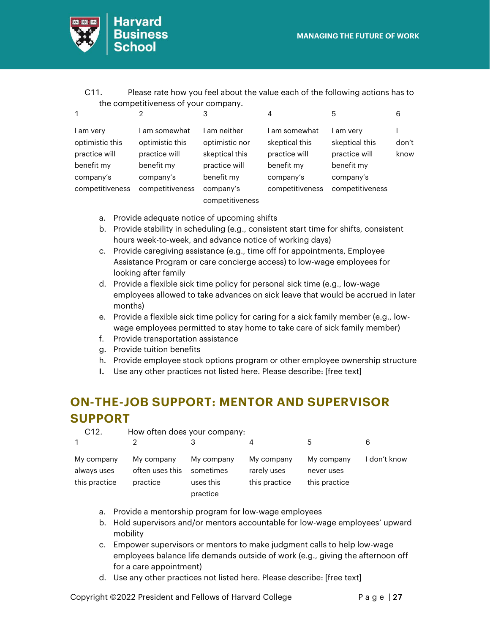

| C11. | Please rate how you feel about the value each of the following actions has to |
|------|-------------------------------------------------------------------------------|
|      | the competitiveness of your company.                                          |

| 1                                                                                           | っ                                                                                             | 3                                                                                          | 4                                                                                            | 5                                                                                        | 6             |
|---------------------------------------------------------------------------------------------|-----------------------------------------------------------------------------------------------|--------------------------------------------------------------------------------------------|----------------------------------------------------------------------------------------------|------------------------------------------------------------------------------------------|---------------|
| l am very<br>optimistic this<br>practice will<br>benefit my<br>company's<br>competitiveness | am somewhat<br>optimistic this<br>practice will<br>benefit my<br>company's<br>competitiveness | am neither<br>optimistic nor<br>skeptical this<br>practice will<br>benefit my<br>company's | am somewhat<br>skeptical this<br>practice will<br>benefit my<br>company's<br>competitiveness | am very<br>skeptical this<br>practice will<br>benefit my<br>company's<br>competitiveness | don't<br>know |
|                                                                                             |                                                                                               | competitiveness                                                                            |                                                                                              |                                                                                          |               |

- a. Provide adequate notice of upcoming shifts
- b. Provide stability in scheduling (e.g., consistent start time for shifts, consistent hours week-to-week, and advance notice of working days)
- c. Provide caregiving assistance (e.g., time off for appointments, Employee Assistance Program or care concierge access) to low-wage employees for looking after family
- d. Provide a flexible sick time policy for personal sick time (e.g., low-wage employees allowed to take advances on sick leave that would be accrued in later months)
- e. Provide a flexible sick time policy for caring for a sick family member (e.g., lowwage employees permitted to stay home to take care of sick family member)
- f. Provide transportation assistance
- g. Provide tuition benefits
- h. Provide employee stock options program or other employee ownership structure
- **I.** Use any other practices not listed here. Please describe: [free text]

## <span id="page-26-0"></span>**ON-THE-JOB SUPPORT: MENTOR AND SUPERVISOR SUPPORT**

| C <sub>12</sub> .                          | How often does your company:              |                                                  |                                            |                                           |              |
|--------------------------------------------|-------------------------------------------|--------------------------------------------------|--------------------------------------------|-------------------------------------------|--------------|
|                                            |                                           |                                                  |                                            | 5                                         | 6            |
| My company<br>always uses<br>this practice | My company<br>often uses this<br>practice | My company<br>sometimes<br>uses this<br>practice | My company<br>rarely uses<br>this practice | My company<br>never uses<br>this practice | I don't know |

- a. Provide a mentorship program for low-wage employees
- b. Hold supervisors and/or mentors accountable for low-wage employees' upward mobility
- c. Empower supervisors or mentors to make judgment calls to help low-wage employees balance life demands outside of work (e.g., giving the afternoon off for a care appointment)
- d. Use any other practices not listed here. Please describe: [free text]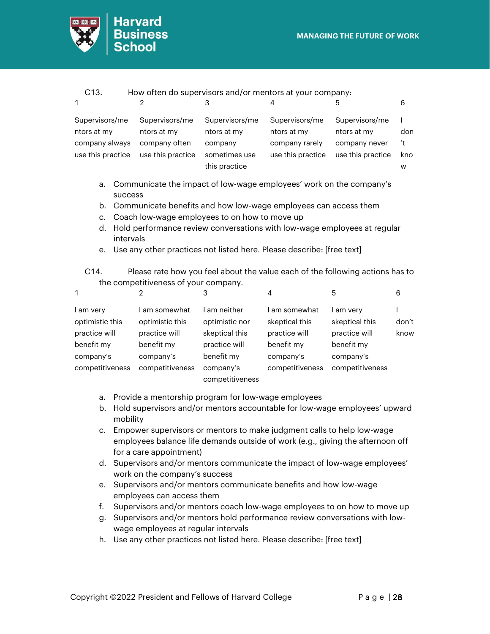

| C13.                                                                 |                                                                                                                                                   | How often do supervisors and/or mentors at your company:                   |                                                                      |                                                                     |                       |
|----------------------------------------------------------------------|---------------------------------------------------------------------------------------------------------------------------------------------------|----------------------------------------------------------------------------|----------------------------------------------------------------------|---------------------------------------------------------------------|-----------------------|
| $\mathbf 1$                                                          | 2                                                                                                                                                 | 3                                                                          | 4                                                                    | 5                                                                   | 6                     |
| Supervisors/me<br>ntors at my<br>company always<br>use this practice | Supervisors/me<br>ntors at my<br>company often<br>use this practice                                                                               | Supervisors/me<br>ntors at my<br>company<br>sometimes use<br>this practice | Supervisors/me<br>ntors at my<br>company rarely<br>use this practice | Supervisors/me<br>ntors at my<br>company never<br>use this practice | don<br>′t<br>kno<br>W |
| a.<br>b.                                                             | Communicate the impact of low-wage employees' work on the company's<br>success<br>Communicate benefits and how low-wage employees can access them |                                                                            |                                                                      |                                                                     |                       |

- c. Coach low-wage employees to on how to move up
- d. Hold performance review conversations with low-wage employees at regular intervals
- e. Use any other practices not listed here. Please describe: [free text]

C14. Please rate how you feel about the value each of the following actions has to the competitiveness of your company.

| $\mathbf{1}$    | 2               | 3               | 4               | 5               | 6     |
|-----------------|-----------------|-----------------|-----------------|-----------------|-------|
| I am very       | am somewhat     | ∣ am neither    | l am somewhat   | am very         |       |
| optimistic this | optimistic this | optimistic nor  | skeptical this  | skeptical this  | don't |
| practice will   | practice will   | skeptical this  | practice will   | practice will   | know  |
| benefit my      | benefit my      | practice will   | benefit my      | benefit my      |       |
| company's       | company's       | benefit my      | company's       | company's       |       |
| competitiveness | competitiveness | company's       | competitiveness | competitiveness |       |
|                 |                 | competitiveness |                 |                 |       |

- a. Provide a mentorship program for low-wage employees
- b. Hold supervisors and/or mentors accountable for low-wage employees' upward mobility
- c. Empower supervisors or mentors to make judgment calls to help low-wage employees balance life demands outside of work (e.g., giving the afternoon off for a care appointment)
- d. Supervisors and/or mentors communicate the impact of low-wage employees' work on the company's success
- e. Supervisors and/or mentors communicate benefits and how low-wage employees can access them
- f. Supervisors and/or mentors coach low-wage employees to on how to move up
- g. Supervisors and/or mentors hold performance review conversations with lowwage employees at regular intervals
- h. Use any other practices not listed here. Please describe: [free text]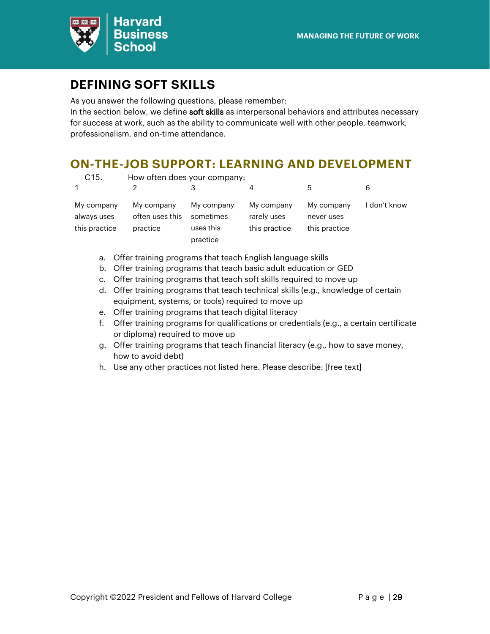

### <span id="page-28-0"></span>**DEFINING SOFT SKILLS**

As you answer the following questions, please remember:

In the section below, we define soft skills as interpersonal behaviors and attributes necessary for success at work, such as the ability to communicate well with other people, teamwork, professionalism, and on-time attendance.

#### <span id="page-28-1"></span>**ON-THE-JOB SUPPORT: LEARNING AND DEVELOPMENT**

| C <sub>15</sub> .                          | How often does your company:              |                                                  |                                            |                                           |              |
|--------------------------------------------|-------------------------------------------|--------------------------------------------------|--------------------------------------------|-------------------------------------------|--------------|
| $\mathbf{1}$                               |                                           |                                                  |                                            | 5                                         | 6            |
| My company<br>always uses<br>this practice | My company<br>often uses this<br>practice | My company<br>sometimes<br>uses this<br>practice | My company<br>rarely uses<br>this practice | My company<br>never uses<br>this practice | I don't know |

- a. Offer training programs that teach English language skills
- b. Offer training programs that teach basic adult education or GED
- c. Offer training programs that teach soft skills required to move up
- d. Offer training programs that teach technical skills (e.g., knowledge of certain equipment, systems, or tools) required to move up
- e. Offer training programs that teach digital literacy
- f. Offer training programs for qualifications or credentials (e.g., a certain certificate or diploma) required to move up
- g. Offer training programs that teach financial literacy (e.g., how to save money, how to avoid debt)
- h. Use any other practices not listed here. Please describe: [free text]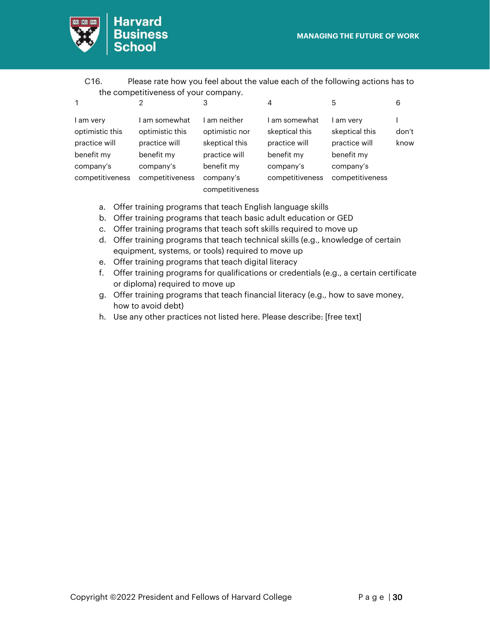

**Harvard**<br>Business **School** 

C16. Please rate how you feel about the value each of the following actions has to the competitiveness of your company.

| $\mathbf 1$                                   |                                                 | 3                                                           | 4                                              |                                            | 6             |
|-----------------------------------------------|-------------------------------------------------|-------------------------------------------------------------|------------------------------------------------|--------------------------------------------|---------------|
| l am very<br>optimistic this<br>practice will | am somewhat<br>optimistic this<br>practice will | am neither<br>optimistic nor<br>skeptical this              | am somewhat<br>skeptical this<br>practice will | am very<br>skeptical this<br>practice will | don't<br>know |
| benefit my<br>company's<br>competitiveness    | benefit my<br>company's<br>competitiveness      | practice will<br>benefit my<br>company's<br>competitiveness | benefit my<br>company's<br>competitiveness     | benefit my<br>company's<br>competitiveness |               |
|                                               |                                                 |                                                             |                                                |                                            |               |

- a. Offer training programs that teach English language skills
- b. Offer training programs that teach basic adult education or GED
- c. Offer training programs that teach soft skills required to move up
- d. Offer training programs that teach technical skills (e.g., knowledge of certain equipment, systems, or tools) required to move up
- e. Offer training programs that teach digital literacy
- f. Offer training programs for qualifications or credentials (e.g., a certain certificate or diploma) required to move up
- g. Offer training programs that teach financial literacy (e.g., how to save money, how to avoid debt)
- h. Use any other practices not listed here. Please describe: [free text]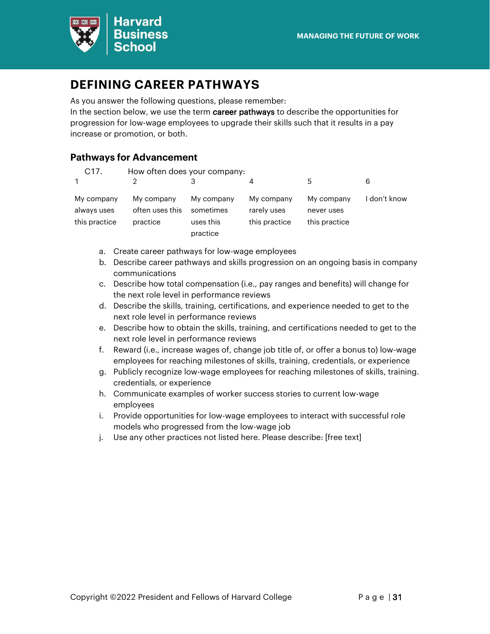

### <span id="page-30-0"></span>**DEFINING CAREER PATHWAYS**

As you answer the following questions, please remember:

In the section below, we use the term career pathways to describe the opportunities for progression for low-wage employees to upgrade their skills such that it results in a pay increase or promotion, or both.

#### <span id="page-30-1"></span>**Pathways for Advancement**

| C <sub>17</sub> .                          | How often does your company:              |                                                  |                                            |                                           |              |
|--------------------------------------------|-------------------------------------------|--------------------------------------------------|--------------------------------------------|-------------------------------------------|--------------|
|                                            |                                           |                                                  | 4                                          | 5                                         |              |
| My company<br>always uses<br>this practice | My company<br>often uses this<br>practice | My company<br>sometimes<br>uses this<br>practice | My company<br>rarely uses<br>this practice | My company<br>never uses<br>this practice | I don't know |

- a. Create career pathways for low-wage employees
- b. Describe career pathways and skills progression on an ongoing basis in company communications
- c. Describe how total compensation (i.e., pay ranges and benefits) will change for the next role level in performance reviews
- d. Describe the skills, training, certifications, and experience needed to get to the next role level in performance reviews
- e. Describe how to obtain the skills, training, and certifications needed to get to the next role level in performance reviews
- f. Reward (i.e., increase wages of, change job title of, or offer a bonus to) low-wage employees for reaching milestones of skills, training, credentials, or experience
- g. Publicly recognize low-wage employees for reaching milestones of skills, training. credentials, or experience
- h. Communicate examples of worker success stories to current low-wage employees
- i. Provide opportunities for low-wage employees to interact with successful role models who progressed from the low-wage job
- j. Use any other practices not listed here. Please describe: [free text]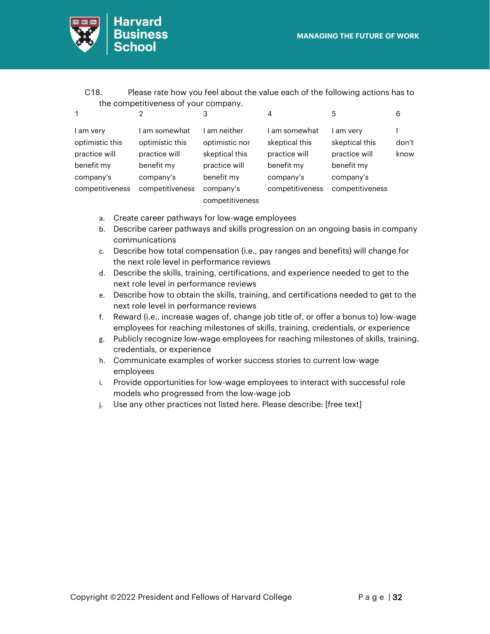

| C18. | Please rate how you feel about the value each of the following actions has to |
|------|-------------------------------------------------------------------------------|
|      | the competitiveness of your company.                                          |

| 1                                                                      |                                                                            | 3                                                                             | 4                                                                         | 5                                                                     | 6             |
|------------------------------------------------------------------------|----------------------------------------------------------------------------|-------------------------------------------------------------------------------|---------------------------------------------------------------------------|-----------------------------------------------------------------------|---------------|
| am very<br>optimistic this<br>practice will<br>benefit my<br>company's | am somewhat<br>optimistic this<br>practice will<br>benefit my<br>company's | am neither<br>optimistic nor<br>skeptical this<br>practice will<br>benefit my | am somewhat<br>skeptical this<br>practice will<br>benefit my<br>company's | am very<br>skeptical this<br>practice will<br>benefit my<br>company's | don't<br>know |
| competitiveness                                                        | competitiveness                                                            | company's<br>competitiveness                                                  | competitiveness                                                           | competitiveness                                                       |               |

- a. Create career pathways for low-wage employees
- b. Describe career pathways and skills progression on an ongoing basis in company communications
- c. Describe how total compensation (i.e., pay ranges and benefits) will change for the next role level in performance reviews
- d. Describe the skills, training, certifications, and experience needed to get to the next role level in performance reviews
- e. Describe how to obtain the skills, training, and certifications needed to get to the next role level in performance reviews
- f. Reward (i.e., increase wages of, change job title of, or offer a bonus to) low-wage employees for reaching milestones of skills, training, credentials, or experience
- g. Publicly recognize low-wage employees for reaching milestones of skills, training. credentials, or experience
- h. Communicate examples of worker success stories to current low-wage employees
- i. Provide opportunities for low-wage employees to interact with successful role models who progressed from the low-wage job
- j. Use any other practices not listed here. Please describe: [free text]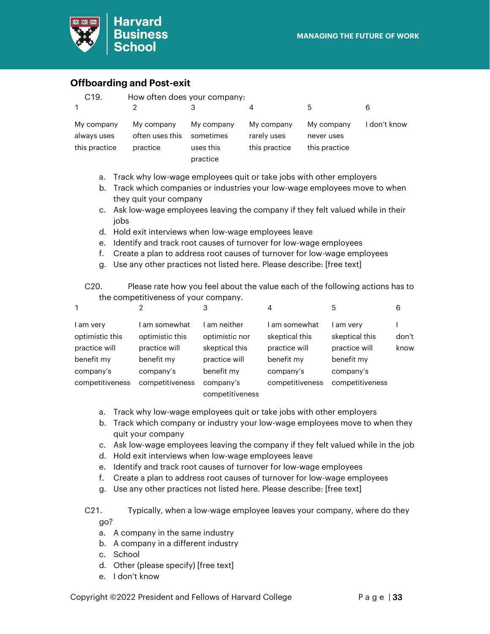

#### <span id="page-32-0"></span>**Offboarding and Post-exit**

| C <sub>19</sub> .                                                         | How often does your company:              |                                                  |                                            |                                           |            |  |
|---------------------------------------------------------------------------|-------------------------------------------|--------------------------------------------------|--------------------------------------------|-------------------------------------------|------------|--|
| $\mathbf{1}$                                                              | 2                                         | З                                                | 4                                          | 5                                         | 6          |  |
| My company<br>always uses<br>this practice                                | My company<br>often uses this<br>practice | My company<br>sometimes<br>uses this<br>practice | My company<br>rarely uses<br>this practice | My company<br>never uses<br>this practice | don't know |  |
| Track why low-wage employees quit or take jobs with other employers<br>а. |                                           |                                                  |                                            |                                           |            |  |

- b. Track which companies or industries your low-wage employees move to when they quit your company
- c. Ask low-wage employees leaving the company if they felt valued while in their jobs
- d. Hold exit interviews when low-wage employees leave
- e. Identify and track root causes of turnover for low-wage employees
- f. Create a plan to address root causes of turnover for low-wage employees
- g. Use any other practices not listed here. Please describe: [free text]

| C20. | Please rate how you feel about the value each of the following actions has to |
|------|-------------------------------------------------------------------------------|
|      | the competitiveness of your company.                                          |

| 1                                             | っ                                               | 3                                                | 4                                              | 5                                          | 6             |
|-----------------------------------------------|-------------------------------------------------|--------------------------------------------------|------------------------------------------------|--------------------------------------------|---------------|
| l am very<br>optimistic this<br>practice will | am somewhat<br>optimistic this<br>practice will | ∣ am neither<br>optimistic nor<br>skeptical this | am somewhat<br>skeptical this<br>practice will | am very<br>skeptical this<br>practice will | don't<br>know |
| benefit my                                    | benefit my                                      | practice will                                    | benefit my                                     | benefit my                                 |               |
| company's                                     | company's                                       | benefit my                                       | company's                                      | company's                                  |               |
| competitiveness                               | competitiveness                                 | company's                                        | competitiveness                                | competitiveness                            |               |
|                                               |                                                 | competitiveness                                  |                                                |                                            |               |

- a. Track why low-wage employees quit or take jobs with other employers
- b. Track which company or industry your low-wage employees move to when they quit your company
- c. Ask low-wage employees leaving the company if they felt valued while in the job
- d. Hold exit interviews when low-wage employees leave
- e. Identify and track root causes of turnover for low-wage employees
- f. Create a plan to address root causes of turnover for low-wage employees
- g. Use any other practices not listed here. Please describe: [free text]

#### C21. Typically, when a low-wage employee leaves your company, where do they go?

- a. A company in the same industry
- b. A company in a different industry
- c. School
- d. Other (please specify) [free text]
- e. I don't know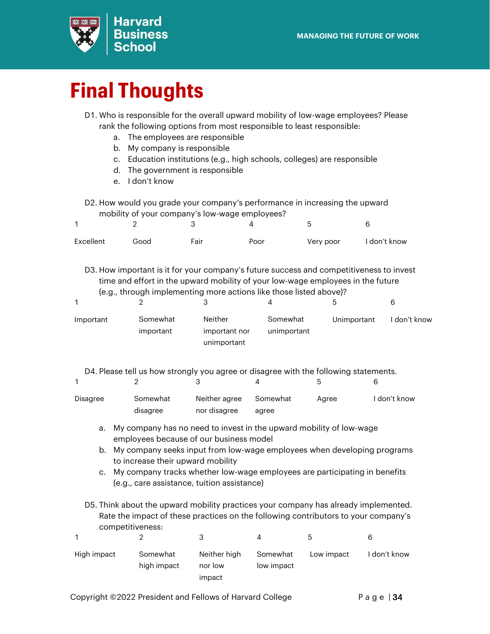

# <span id="page-33-0"></span>**Final Thoughts**

- D1. Who is responsible for the overall upward mobility of low-wage employees? Please rank the following options from most responsible to least responsible:
	- a. The employees are responsible
	- b. My company is responsible
	- c. Education institutions (e.g., high schools, colleges) are responsible
	- d. The government is responsible
	- e. I don't know

 $\overline{2}$ 

1

D2. How would you grade your company's performance in increasing the upward mobility of your company's low-wage employees?

| Excellent | Good | Fair | Poor | Very poor | I don't know |
|-----------|------|------|------|-----------|--------------|

D3. How important is it for your company's future success and competitiveness to invest time and effort in the upward mobility of your low-wage employees in the future (e.g., through implementing more actions like those listed above)?

|                                    |                                         |                         | ხ           | 6            |
|------------------------------------|-----------------------------------------|-------------------------|-------------|--------------|
| Somewhat<br>Important<br>important | Neither<br>important nor<br>unimportant | Somewhat<br>unimportant | Unimportant | I don't know |

4

5

D4. Please tell us how strongly you agree or disagree with the following statements.

3

| Disagree | Somewhat | Neither agree | Somewhat | Aaree | I don't know |
|----------|----------|---------------|----------|-------|--------------|
|          | disagree | nor disagree  | agree    |       |              |

- a. My company has no need to invest in the upward mobility of low-wage employees because of our business model
- b. My company seeks input from low-wage employees when developing programs to increase their upward mobility
- c. My company tracks whether low-wage employees are participating in benefits (e.g., care assistance, tuition assistance)
- D5. Think about the upward mobility practices your company has already implemented. Rate the impact of these practices on the following contributors to your company's competitiveness:

| High impact | Somewhat<br>high impact | Neither high<br>nor low<br>impact | Somewhat<br>low impact | Low impact | I don't know |
|-------------|-------------------------|-----------------------------------|------------------------|------------|--------------|

6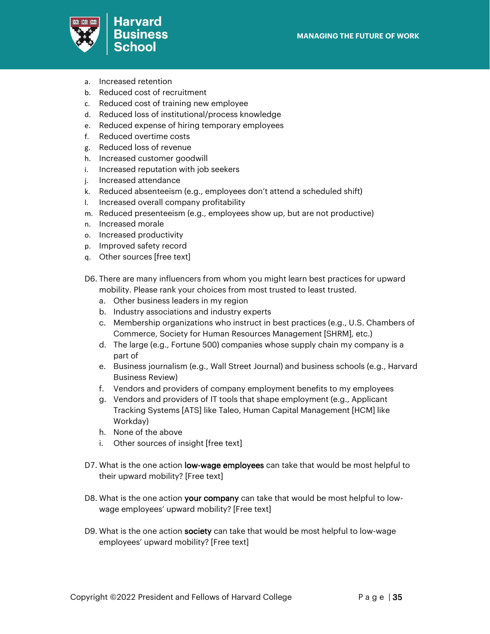

- a. Increased retention
- b. Reduced cost of recruitment
- c. Reduced cost of training new employee
- d. Reduced loss of institutional/process knowledge
- e. Reduced expense of hiring temporary employees
- f. Reduced overtime costs
- g. Reduced loss of revenue
- h. Increased customer goodwill
- i. Increased reputation with job seekers
- j. Increased attendance
- k. Reduced absenteeism (e.g., employees don't attend a scheduled shift)
- l. Increased overall company profitability
- m. Reduced presenteeism (e.g., employees show up, but are not productive)
- n. Increased morale
- o. Increased productivity
- p. Improved safety record
- q. Other sources [free text]
- D6. There are many influencers from whom you might learn best practices for upward mobility. Please rank your choices from most trusted to least trusted.
	- a. Other business leaders in my region
	- b. Industry associations and industry experts
	- c. Membership organizations who instruct in best practices (e.g., U.S. Chambers of Commerce, Society for Human Resources Management [SHRM], etc.)
	- d. The large (e.g., Fortune 500) companies whose supply chain my company is a part of
	- e. Business journalism (e.g., Wall Street Journal) and business schools (e.g., Harvard Business Review)
	- f. Vendors and providers of company employment benefits to my employees
	- g. Vendors and providers of IT tools that shape employment (e.g., Applicant Tracking Systems [ATS] like Taleo, Human Capital Management [HCM] like Workday)
	- h. None of the above
	- i. Other sources of insight [free text]
- D7. What is the one action low-wage employees can take that would be most helpful to their upward mobility? [Free text]
- D8. What is the one action your company can take that would be most helpful to lowwage employees' upward mobility? [Free text]
- D9. What is the one action society can take that would be most helpful to low-wage employees' upward mobility? [Free text]